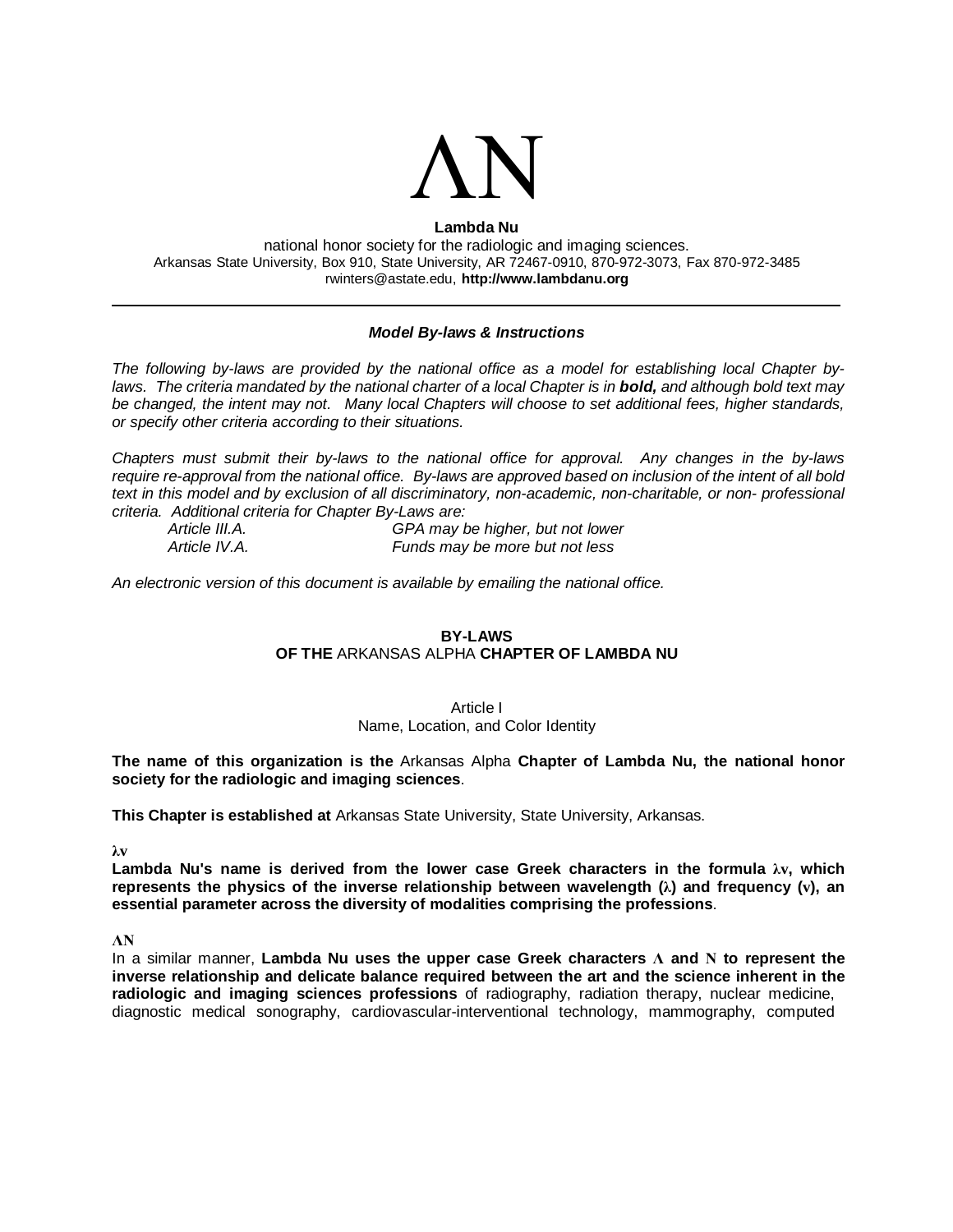

#### **Lambda Nu** national honor society for the radiologic and imaging sciences. Arkansas State University, Box 910, State University, AR 72467-0910, 870-972-3073, Fax 870-972-348[5](mailto:rwinters@astate.edu) [rwinters@astate.edu,](mailto:rwinters@astate.edu) **[http://www.lambdanu.org](http://www.lambdanu.org/)**

## *Model By-laws & Instructions*

*The following by-laws are provided by the national office as a model for establishing local Chapter by*laws. The criteria mandated by the national charter of a local Chapter is in **bold**, and although bold text may *be changed, the intent may not. Many local Chapters will choose to set additional fees, higher standards, or specify other criteria according to their situations.*

*Chapters must submit their by-laws to the national office for approval. Any changes in the by-laws require re-approval from the national office. By-laws are approved based on inclusion of the intent of all bold text in this model and by exclusion of all discriminatory, non-academic, non-charitable, or non- professional criteria. Additional criteria for Chapter By-Laws are:*

*Article III.A. GPA may be higher, but not lower Article IV.A. Funds may be more but not less*

*An electronic version of this document is available by emailing the national office.*

## **BY-LAWS OF THE** ARKANSAS ALPHA **CHAPTER OF LAMBDA NU**

#### Article I Name, Location, and Color Identity

**The name of this organization is the** Arkansas Alpha **Chapter of Lambda Nu, the national honor society for the radiologic and imaging sciences**.

**This Chapter is established at** Arkansas State University, State University, Arkansas.

**λv**

**Lambda Nu's name is derived from the lower case Greek characters in the formula λv, which represents the physics of the inverse relationship between wavelength (λ) and frequency (v), an essential parameter across the diversity of modalities comprising the professions**.

**ΛΝ**

In a similar manner, **Lambda Nu uses the upper case Greek characters Λ and Ν to represent the inverse relationship and delicate balance required between the art and the science inherent in the radiologic and imaging sciences professions** of radiography, radiation therapy, nuclear medicine, diagnostic medical sonography, cardiovascular-interventional technology, mammography, computed